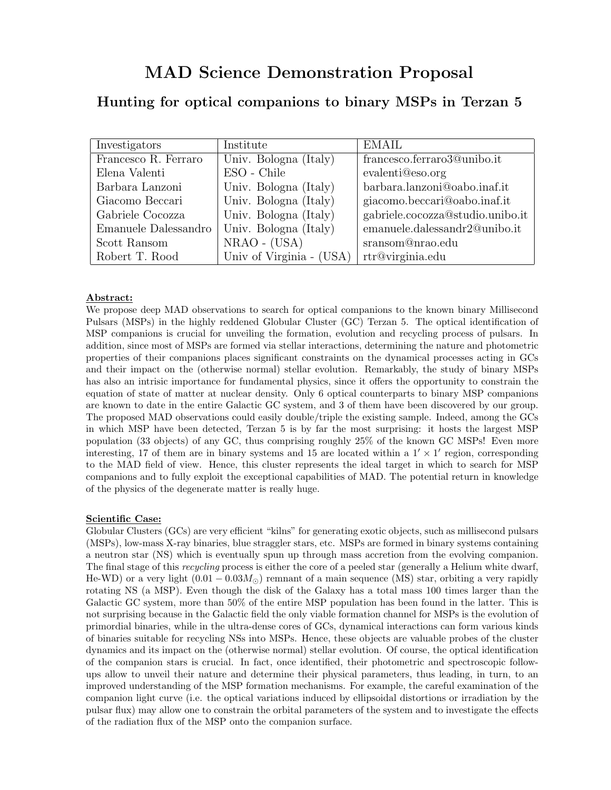| Investigators        | Institute                | <b>EMAIL</b>                     |
|----------------------|--------------------------|----------------------------------|
| Francesco R. Ferraro | Univ. Bologna (Italy)    | francesco.ferraro3@unibo.it      |
| Elena Valenti        | ESO - Chile              | evalenti@eso.org                 |
| Barbara Lanzoni      | Univ. Bologna (Italy)    | barbara.lanzoni@oabo.inaf.it     |
| Giacomo Beccari      | Univ. Bologna (Italy)    | giacomo.beccari@oabo.inaf.it     |
| Gabriele Cocozza     | Univ. Bologna (Italy)    | gabriele.cocozza@studio.unibo.it |
| Emanuele Dalessandro | Univ. Bologna (Italy)    | emanuele.dalessandr2@unibo.it    |
| Scott Ransom         | $NRAO - (USA)$           | sransom@nrao.edu                 |
| Robert T. Rood       | Univ of Virginia - (USA) | rtr@virginia.edu                 |

# Hunting for optical companions to binary MSPs in Terzan 5

# Abstract:

We propose deep MAD observations to search for optical companions to the known binary Millisecond Pulsars (MSPs) in the highly reddened Globular Cluster (GC) Terzan 5. The optical identification of MSP companions is crucial for unveiling the formation, evolution and recycling process of pulsars. In addition, since most of MSPs are formed via stellar interactions, determining the nature and photometric properties of their companions places significant constraints on the dynamical processes acting in GCs and their impact on the (otherwise normal) stellar evolution. Remarkably, the study of binary MSPs has also an intrisic importance for fundamental physics, since it offers the opportunity to constrain the equation of state of matter at nuclear density. Only 6 optical counterparts to binary MSP companions are known to date in the entire Galactic GC system, and 3 of them have been discovered by our group. The proposed MAD observations could easily double/triple the existing sample. Indeed, among the GCs in which MSP have been detected, Terzan 5 is by far the most surprising: it hosts the largest MSP population (33 objects) of any GC, thus comprising roughly 25% of the known GC MSPs! Even more interesting, 17 of them are in binary systems and 15 are located within a  $1' \times 1'$  region, corresponding to the MAD field of view. Hence, this cluster represents the ideal target in which to search for MSP companions and to fully exploit the exceptional capabilities of MAD. The potential return in knowledge of the physics of the degenerate matter is really huge.

# Scientific Case:

Globular Clusters (GCs) are very efficient "kilns" for generating exotic objects, such as millisecond pulsars (MSPs), low-mass X-ray binaries, blue straggler stars, etc. MSPs are formed in binary systems containing a neutron star (NS) which is eventually spun up through mass accretion from the evolving companion. The final stage of this recycling process is either the core of a peeled star (generally a Helium white dwarf, He-WD) or a very light  $(0.01 - 0.03 M_{\odot})$  remnant of a main sequence (MS) star, orbiting a very rapidly rotating NS (a MSP). Even though the disk of the Galaxy has a total mass 100 times larger than the Galactic GC system, more than 50% of the entire MSP population has been found in the latter. This is not surprising because in the Galactic field the only viable formation channel for MSPs is the evolution of primordial binaries, while in the ultra-dense cores of GCs, dynamical interactions can form various kinds of binaries suitable for recycling NSs into MSPs. Hence, these objects are valuable probes of the cluster dynamics and its impact on the (otherwise normal) stellar evolution. Of course, the optical identification of the companion stars is crucial. In fact, once identified, their photometric and spectroscopic followups allow to unveil their nature and determine their physical parameters, thus leading, in turn, to an improved understanding of the MSP formation mechanisms. For example, the careful examination of the companion light curve (i.e. the optical variations induced by ellipsoidal distortions or irradiation by the pulsar flux) may allow one to constrain the orbital parameters of the system and to investigate the effects of the radiation flux of the MSP onto the companion surface.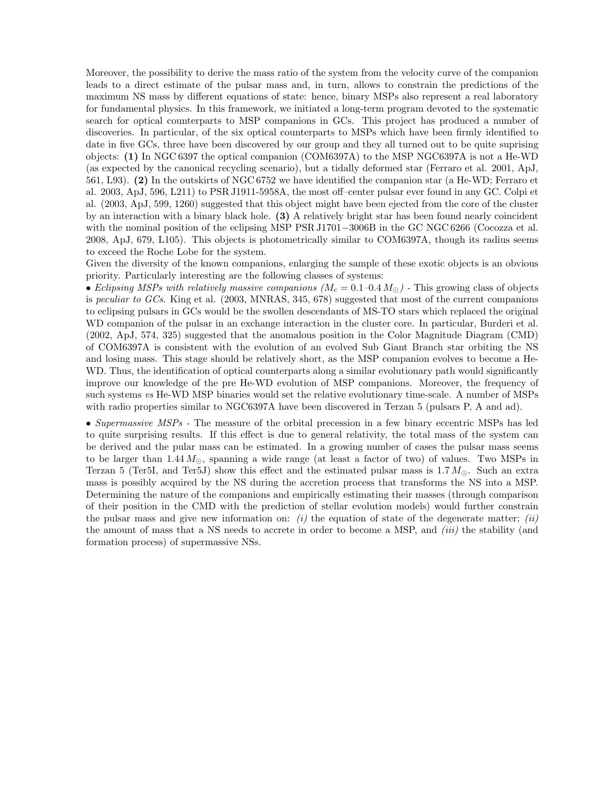Moreover, the possibility to derive the mass ratio of the system from the velocity curve of the companion leads to a direct estimate of the pulsar mass and, in turn, allows to constrain the predictions of the maximum NS mass by different equations of state: hence, binary MSPs also represent a real laboratory for fundamental physics. In this framework, we initiated a long-term program devoted to the systematic search for optical counterparts to MSP companions in GCs. This project has produced a number of discoveries. In particular, of the six optical counterparts to MSPs which have been firmly identified to date in five GCs, three have been discovered by our group and they all turned out to be quite suprising objects: (1) In NGC 6397 the optical companion (COM6397A) to the MSP NGC6397A is not a He-WD (as expected by the canonical recycling scenario), but a tidally deformed star (Ferraro et al. 2001, ApJ, 561, L93). (2) In the outskirts of NGC 6752 we have identified the companion star (a He-WD; Ferraro et al. 2003, ApJ, 596, L211) to PSR J1911-5958A, the most off–center pulsar ever found in any GC. Colpi et al. (2003, ApJ, 599, 1260) suggested that this object might have been ejected from the core of the cluster by an interaction with a binary black hole. (3) A relatively bright star has been found nearly coincident with the nominal position of the eclipsing MSP PSR J1701−3006B in the GC NGC 6266 (Cocozza et al. 2008, ApJ, 679, L105). This objects is photometrically similar to COM6397A, though its radius seems to exceed the Roche Lobe for the system.

Given the diversity of the known companions, enlarging the sample of these exotic objects is an obvious priority. Particularly interesting are the following classes of systems:

• Eclipsing MSPs with relatively massive companions  $(M_c = 0.1 - 0.4 M_{\odot})$  - This growing class of objects is peculiar to GCs. King et al. (2003, MNRAS, 345, 678) suggested that most of the current companions to eclipsing pulsars in GCs would be the swollen descendants of MS-TO stars which replaced the original WD companion of the pulsar in an exchange interaction in the cluster core. In particular, Burderi et al. (2002, ApJ, 574, 325) suggested that the anomalous position in the Color Magnitude Diagram (CMD) of COM6397A is consistent with the evolution of an evolved Sub Giant Branch star orbiting the NS and losing mass. This stage should be relatively short, as the MSP companion evolves to become a He-WD. Thus, the identification of optical counterparts along a similar evolutionary path would significantly improve our knowledge of the pre He-WD evolution of MSP companions. Moreover, the frequency of such systems vs He-WD MSP binaries would set the relative evolutionary time-scale. A number of MSPs with radio properties similar to NGC6397A have been discovered in Terzan 5 (pulsars P, A and ad).

• Supermassive MSPs - The measure of the orbital precession in a few binary eccentric MSPs has led to quite surprising results. If this effect is due to general relativity, the total mass of the system can be derived and the pular mass can be estimated. In a growing number of cases the pulsar mass seems to be larger than  $1.44 M_{\odot}$ , spanning a wide range (at least a factor of two) of values. Two MSPs in Terzan 5 (Ter5I, and Ter5J) show this effect and the estimated pulsar mass is  $1.7 M_{\odot}$ . Such an extra mass is possibly acquired by the NS during the accretion process that transforms the NS into a MSP. Determining the nature of the companions and empirically estimating their masses (through comparison of their position in the CMD with the prediction of stellar evolution models) would further constrain the pulsar mass and give new information on: (i) the equation of state of the degenerate matter; (ii) the amount of mass that a NS needs to accrete in order to become a MSP, and *(iii)* the stability (and formation process) of supermassive NSs.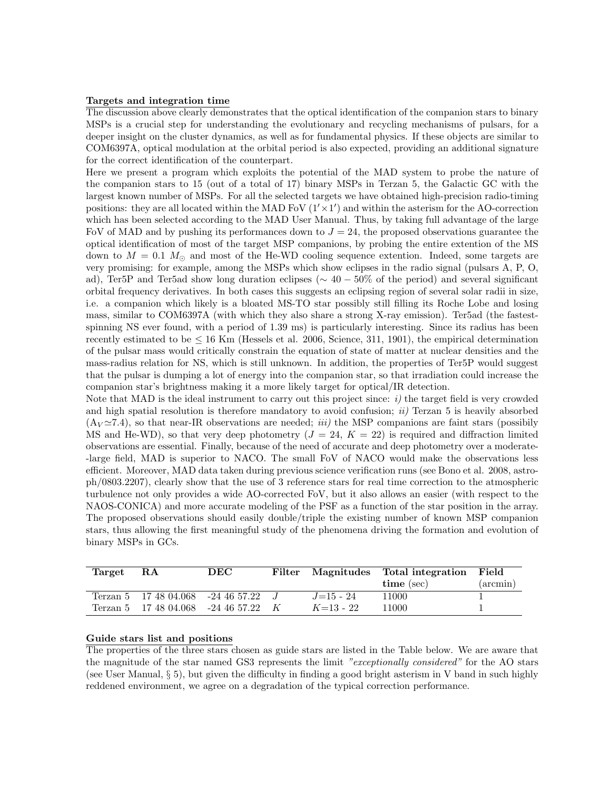#### Targets and integration time

The discussion above clearly demonstrates that the optical identification of the companion stars to binary MSPs is a crucial step for understanding the evolutionary and recycling mechanisms of pulsars, for a deeper insight on the cluster dynamics, as well as for fundamental physics. If these objects are similar to COM6397A, optical modulation at the orbital period is also expected, providing an additional signature for the correct identification of the counterpart.

Here we present a program which exploits the potential of the MAD system to probe the nature of the companion stars to 15 (out of a total of 17) binary MSPs in Terzan 5, the Galactic GC with the largest known number of MSPs. For all the selected targets we have obtained high-precision radio-timing positions: they are all located within the MAD FoV  $(1' \times 1')$  and within the asterism for the AO-correction which has been selected according to the MAD User Manual. Thus, by taking full advantage of the large FoV of MAD and by pushing its performances down to  $J = 24$ , the proposed observations guarantee the optical identification of most of the target MSP companions, by probing the entire extention of the MS down to  $M = 0.1$   $M_{\odot}$  and most of the He-WD cooling sequence extention. Indeed, some targets are very promising: for example, among the MSPs which show eclipses in the radio signal (pulsars A, P, O, ad), Ter5P and Ter5ad show long duration eclipses (∼ 40 − 50% of the period) and several significant orbital frequency derivatives. In both cases this suggests an eclipsing region of several solar radii in size, i.e. a companion which likely is a bloated MS-TO star possibly still filling its Roche Lobe and losing mass, similar to COM6397A (with which they also share a strong X-ray emission). Ter5ad (the fastestspinning NS ever found, with a period of 1.39 ms) is particularly interesting. Since its radius has been recently estimated to be  $\leq 16$  Km (Hessels et al. 2006, Science, 311, 1901), the empirical determination of the pulsar mass would critically constrain the equation of state of matter at nuclear densities and the mass-radius relation for NS, which is still unknown. In addition, the properties of Ter5P would suggest that the pulsar is dumping a lot of energy into the companion star, so that irradiation could increase the companion star's brightness making it a more likely target for optical/IR detection.

Note that MAD is the ideal instrument to carry out this project since:  $i$ ) the target field is very crowded and high spatial resolution is therefore mandatory to avoid confusion;  $ii$ ) Terzan 5 is heavily absorbed  $(A_V \simeq 7.4)$ , so that near-IR observations are needed; *iii*) the MSP companions are faint stars (possibily MS and He-WD), so that very deep photometry  $(J = 24, K = 22)$  is required and diffraction limited observations are essential. Finally, because of the need of accurate and deep photometry over a moderate- -large field, MAD is superior to NACO. The small FoV of NACO would make the observations less efficient. Moreover, MAD data taken during previous science verification runs (see Bono et al. 2008, astroph/0803.2207), clearly show that the use of 3 reference stars for real time correction to the atmospheric turbulence not only provides a wide AO-corrected FoV, but it also allows an easier (with respect to the NAOS-CONICA) and more accurate modeling of the PSF as a function of the star position in the array. The proposed observations should easily double/triple the existing number of known MSP companion stars, thus allowing the first meaningful study of the phenomena driving the formation and evolution of binary MSPs in GCs.

| Target   | RA                                   | DEC                 | Filter |               | Magnitudes Total integration Field |             |
|----------|--------------------------------------|---------------------|--------|---------------|------------------------------------|-------------|
|          |                                      |                     |        |               | $time$ (sec)                       | $(\arcsin)$ |
|          | Terzan 5 17 48 04.068 -24 46 57.22 J |                     |        | $J=15 - 24$   | 11000                              |             |
| Terzan 5 | 17 48 04.068                         | $-24\;46\;57.22\;K$ |        | $K = 13 - 22$ | 11000                              |             |

## Guide stars list and positions

The properties of the three stars chosen as guide stars are listed in the Table below. We are aware that the magnitude of the star named GS3 represents the limit "exceptionally considered" for the AO stars (see User Manual, § 5), but given the difficulty in finding a good bright asterism in V band in such highly reddened environment, we agree on a degradation of the typical correction performance.